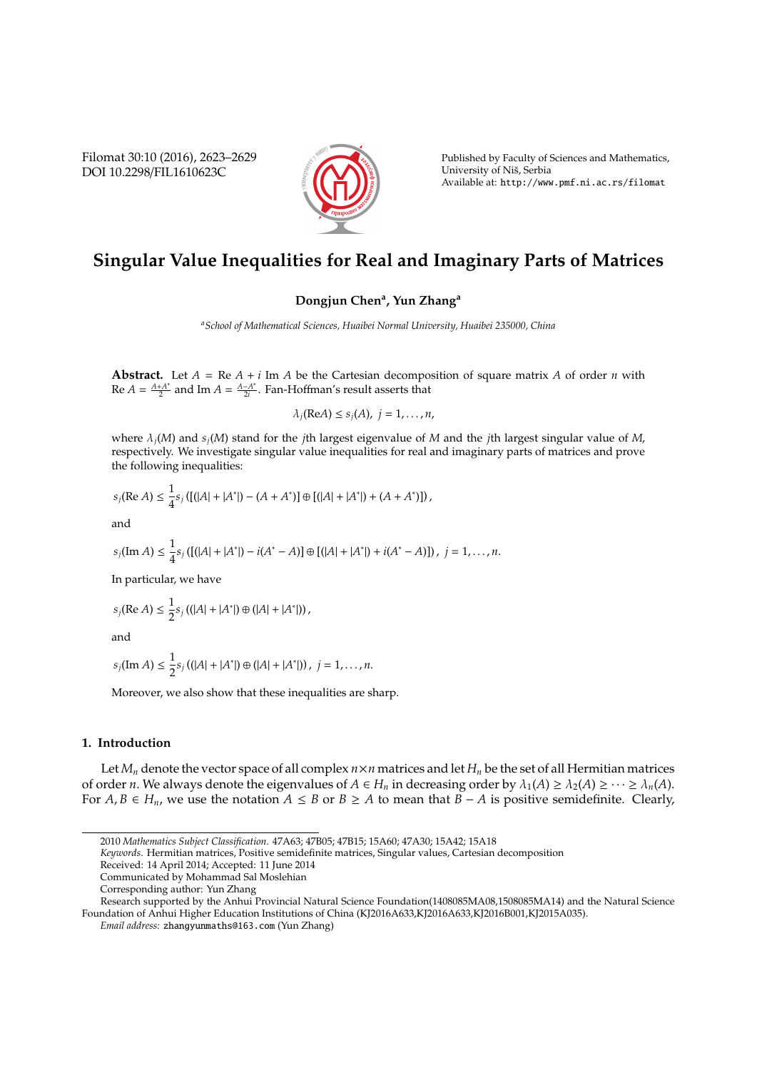Filomat 30:10 (2016), 2623–2629 DOI 10.2298/FIL1610623C



Published by Faculty of Sciences and Mathematics, University of Niš, Serbia Available at: http://www.pmf.ni.ac.rs/filomat

# **Singular Value Inequalities for Real and Imaginary Parts of Matrices**

## **Dongjun Chen<sup>a</sup> , Yun Zhang<sup>a</sup>**

*<sup>a</sup>School of Mathematical Sciences, Huaibei Normal University, Huaibei 235000, China*

**Abstract.** Let  $A = \text{Re } A + i \text{ Im } A$  be the Cartesian decomposition of square matrix  $A$  of order  $n$  with  $Re A = \frac{A+A^*}{2}$  $\frac{A^{+}A^{*}}{2}$  and Im *A* =  $\frac{A-A^{*}}{2i}$  $\frac{-A}{2i}$ . Fan-Hoffman's result asserts that

$$
\lambda_j(\text{Re}A) \leq s_j(A), \ j = 1, \ldots, n,
$$

where λ*j*(*M*) and *sj*(*M*) stand for the *j*th largest eigenvalue of *M* and the *j*th largest singular value of *M*, respectively. We investigate singular value inequalities for real and imaginary parts of matrices and prove the following inequalities:

$$
s_j(\text{Re}\,A) \leq \frac{1}{4} s_j \left( \left[ (|A| + |A^*|) - (A + A^*) \right] \oplus \left[ (|A| + |A^*|) + (A + A^*) \right] \right),
$$

and

$$
s_j(\text{Im }A) \leq \frac{1}{4}s_j\left(\left[\frac{(|A| + |A^*|) - i(A^* - A)\right] \oplus \left[\frac{(|A| + |A^*|) + i(A^* - A)\right]}{|\cdots|}, \ j = 1, \ldots, n.
$$

In particular, we have

$$
s_j(\text{Re } A) \leq \frac{1}{2} s_j \left( (|A| + |A^*|) \oplus (|A| + |A^*|) \right),
$$

and

$$
s_j(\text{Im }A) \leq \frac{1}{2} s_j \left( (|A| + |A^*|) \oplus (|A| + |A^*|) \right), \ j = 1, \ldots, n.
$$

Moreover, we also show that these inequalities are sharp.

## **1. Introduction**

Let  $M_n$  denote the vector space of all complex  $n \times n$  matrices and let  $H_n$  be the set of all Hermitian matrices of order *n*. We always denote the eigenvalues of  $A \in H_n$  in decreasing order by  $\lambda_1(A) \geq \lambda_2(A) \geq \cdots \geq \lambda_n(A)$ . For *A*, *B* ∈ *H<sub>n</sub>*, we use the notation *A* ≤ *B* or *B* ≥ *A* to mean that *B* − *A* is positive semidefinite. Clearly,

*Keywords*. Hermitian matrices, Positive semidefinite matrices, Singular values, Cartesian decomposition

<sup>2010</sup> *Mathematics Subject Classification*. 47A63; 47B05; 47B15; 15A60; 47A30; 15A42; 15A18

Received: 14 April 2014; Accepted: 11 June 2014

Communicated by Mohammad Sal Moslehian

Corresponding author: Yun Zhang

Research supported by the Anhui Provincial Natural Science Foundation(1408085MA08,1508085MA14) and the Natural Science Foundation of Anhui Higher Education Institutions of China (KJ2016A633,KJ2016A633,KJ2016B001,KJ2015A035).

*Email address:* zhangyunmaths@163.com (Yun Zhang)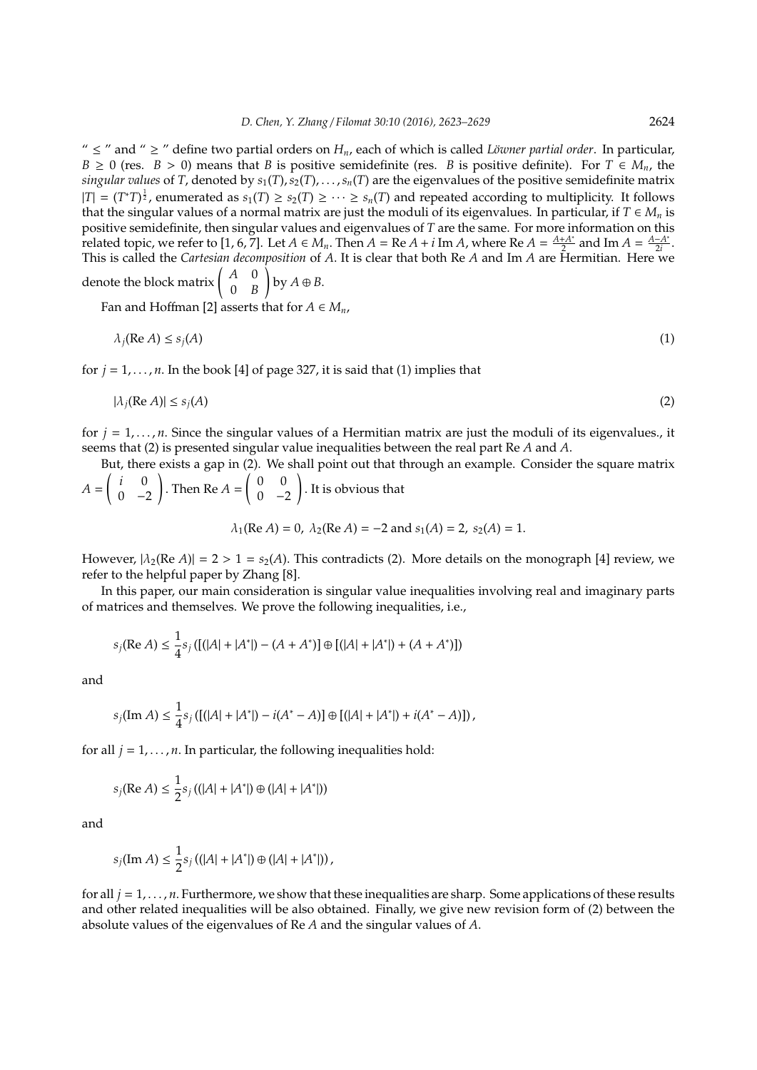"  $\leq$  " and "  $\geq$  " define two partial orders on  $H_n$ , each of which is called *Löwner partial order*. In particular,  $B \ge 0$  (res.  $B > 0$ ) means that *B* is positive semidefinite (res. *B* is positive definite). For  $T \in M_n$ , the *singular values* of *T*, denoted by  $s_1(T)$ ,  $s_2(T)$ , . . . ,  $s_n(T)$  are the eigenvalues of the positive semidefinite matrix  $|T| = (T^*T)^{\frac{1}{2}}$ , enumerated as  $s_1(T) \geq s_2(T) \geq \cdots \geq s_n(T)$  and repeated according to multiplicity. It follows that the singular values of a normal matrix are just the moduli of its eigenvalues. In particular, if  $T \in M_n$  is positive semidefinite, then singular values and eigenvalues of *T* are the same. For more information on this related topic, we refer to [1, 6, 7]. Let  $A \in M_n$ . Then  $A = \text{Re } A + i \text{ Im } A$ , where  $\text{Re } A = \frac{A+A^*}{2}$  $\frac{A^{+}A^{*}}{2}$  and Im *A* =  $\frac{A-A^{*}}{2i}$  $\frac{-A}{2i}$ . This is called the *Cartesian decomposition* of *A*. It is clear that both Re *A* and Im *A* are Hermitian. Here we

denote the block matrix  $\begin{pmatrix} A & 0 \\ 0 & B \end{pmatrix}$ 0 *B*  $\bigg\}$  by  $A \oplus B$ .

Fan and Hoffman [2] asserts that for  $A \in M_n$ ,

$$
\lambda_j(\text{Re }A) \le s_j(A) \tag{1}
$$

for  $j = 1, \ldots, n$ . In the book [4] of page 327, it is said that (1) implies that

$$
|\lambda_j(\operatorname{Re} A)| \le s_j(A) \tag{2}
$$

for  $j = 1, \ldots, n$ . Since the singular values of a Hermitian matrix are just the moduli of its eigenvalues., it seems that (2) is presented singular value inequalities between the real part Re *A* and *A*.

But, there exists a gap in (2). We shall point out that through an example. Consider the square matrix *A* =  $\int i = 0$  $0 -2$ ! . Then Re *A* =  $\begin{pmatrix} 0 & 0 \\ 0 & 0 \end{pmatrix}$  $0 -2$ ! . It is obvious that

$$
\lambda_1(\text{Re }A) = 0
$$
,  $\lambda_2(\text{Re }A) = -2$  and  $s_1(A) = 2$ ,  $s_2(A) = 1$ .

However,  $|\lambda_2(\text{Re }A)| = 2 > 1 = s_2(A)$ . This contradicts (2). More details on the monograph [4] review, we refer to the helpful paper by Zhang [8].

In this paper, our main consideration is singular value inequalities involving real and imaginary parts of matrices and themselves. We prove the following inequalities, i.e.,

$$
s_j(\text{Re } A) \le \frac{1}{4} s_j \left( \left[ (|A| + |A^*|) - (A + A^*) \right] \oplus \left[ (|A| + |A^*|) + (A + A^*) \right] \right)
$$

and

$$
s_j(\text{Im}\,A) \leq \frac{1}{4} s_j \left( \left[ (|A| + |A^*|) - i(A^* - A) \right] \oplus \left[ (|A| + |A^*|) + i(A^* - A) \right] \right),
$$

for all  $j = 1, \ldots, n$ . In particular, the following inequalities hold:

$$
s_j(\text{Re } A) \le \frac{1}{2} s_j \left( (|A| + |A^*|) \oplus (|A| + |A^*|) \right)
$$

and

$$
s_j(\text{Im}\,A) \leq \frac{1}{2} s_j \left( (|A| + |A^*|) \oplus (|A| + |A^*|) \right),
$$

for all *j* = 1, . . . , *n*. Furthermore, we show that these inequalities are sharp. Some applications of these results and other related inequalities will be also obtained. Finally, we give new revision form of (2) between the absolute values of the eigenvalues of Re *A* and the singular values of *A*.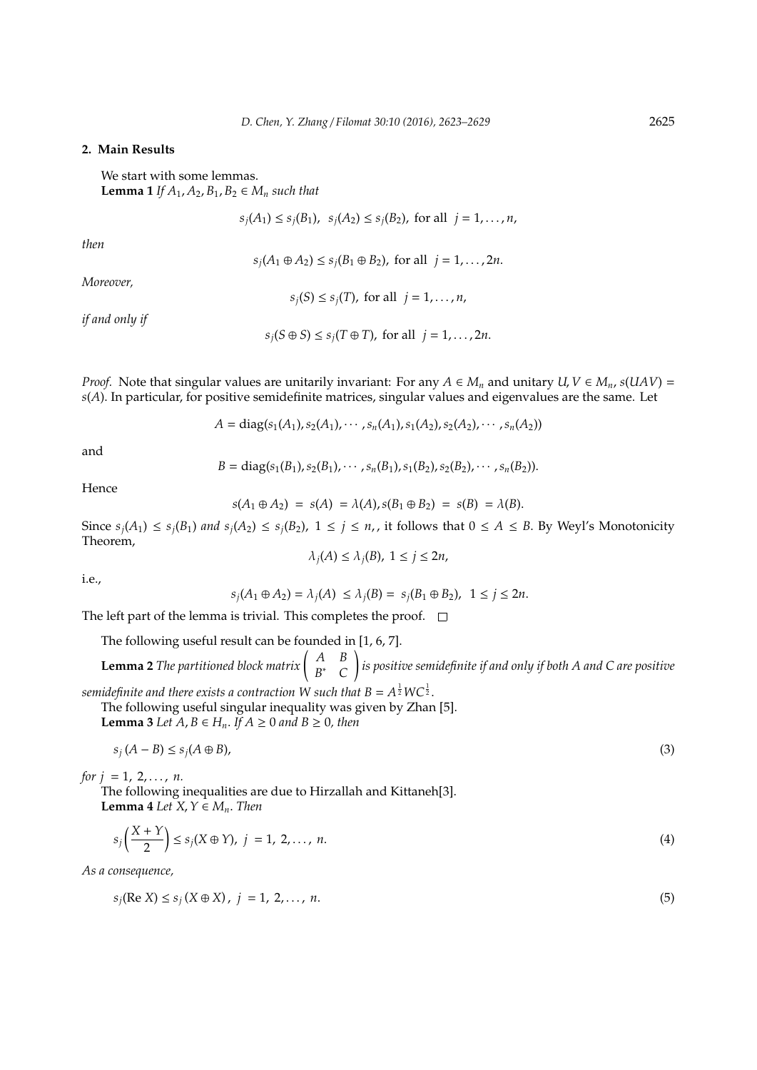## **2. Main Results**

We start with some lemmas. **Lemma 1** *If*  $A_1$ ,  $A_2$ ,  $B_1$ ,  $B_2$  ∈  $M_n$  *such that* 

 $s_i(A_1) \leq s_i(B_1)$ ,  $s_i(A_2) \leq s_i(B_2)$ , for all  $j = 1, ..., n$ ,

*then*

 $s_i(A_1 ⊕ A_2) ≤ s_i(B_1 ⊕ B_2)$ , for all  $j = 1, ..., 2n$ .

*Moreover,*

 $s_j(S) \leq s_j(T)$ , for all  $j = 1, ..., n$ ,

*if and only if*

*s*<sup>*j*</sup>(*S* ⊕ *S*) ≤ *s*<sup>*j*</sup>(*T* ⊕ *T*), for all *j* = 1, . . . , 2*n*.

*Proof.* Note that singular values are unitarily invariant: For any  $A \in M_n$  and unitary  $U, V \in M_n$ ,  $s(UAV) =$ *s*(*A*). In particular, for positive semidefinite matrices, singular values and eigenvalues are the same. Let

$$
A = diag(s_1(A_1), s_2(A_1), \cdots, s_n(A_1), s_1(A_2), s_2(A_2), \cdots, s_n(A_2))
$$

and

$$
B = diag(s_1(B_1), s_2(B_1), \cdots, s_n(B_1), s_1(B_2), s_2(B_2), \cdots, s_n(B_2)).
$$

Hence

$$
s(A_1 \oplus A_2) = s(A) = \lambda(A), s(B_1 \oplus B_2) = s(B) = \lambda(B).
$$

Since  $s_j(A_1) \leq s_j(B_1)$  and  $s_j(A_2) \leq s_j(B_2)$ ,  $1 \leq j \leq n$ , it follows that  $0 \leq A \leq B$ . By Weyl's Monotonicity Theorem,

$$
\lambda_j(A) \le \lambda_j(B), \ 1 \le j \le 2n,
$$

i.e.,

$$
s_j(A_1 \oplus A_2) = \lambda_j(A) \le \lambda_j(B) = s_j(B_1 \oplus B_2), \ \ 1 \le j \le 2n.
$$

The left part of the lemma is trivial. This completes the proof.  $\square$ 

The following useful result can be founded in [1, 6, 7].

**Lemma 2** *The partitioned block matrix*  $\begin{pmatrix} A & B \\ B^* & C \end{pmatrix}$ *B* <sup>∗</sup> *C* ! *is positive semidefinite if and only if both A and C are positive*

semidefinite and there exists a contraction W such that  $B=A^{\frac{1}{2}}W C^{\frac{1}{2}}.$ 

The following useful singular inequality was given by Zhan [5]. **Lemma 3** *Let*  $A$ ,  $B \in H_n$ . *If*  $A \ge 0$  *and*  $B \ge 0$ , *then* 

$$
s_j(A - B) \le s_j(A \oplus B),\tag{3}
$$

*for*  $j = 1, 2, ..., n$ .

The following inequalities are due to Hirzallah and Kittaneh[3]. **Lemma 4** *Let*  $X, Y \in M_n$ *. Then* 

$$
s_j\left(\frac{X+Y}{2}\right) \le s_j(X \oplus Y), \ j = 1, 2, \dots, n. \tag{4}
$$

*As a consequence,*

$$
s_j(\text{Re } X) \le s_j(X \oplus X), \quad j = 1, 2, \dots, n. \tag{5}
$$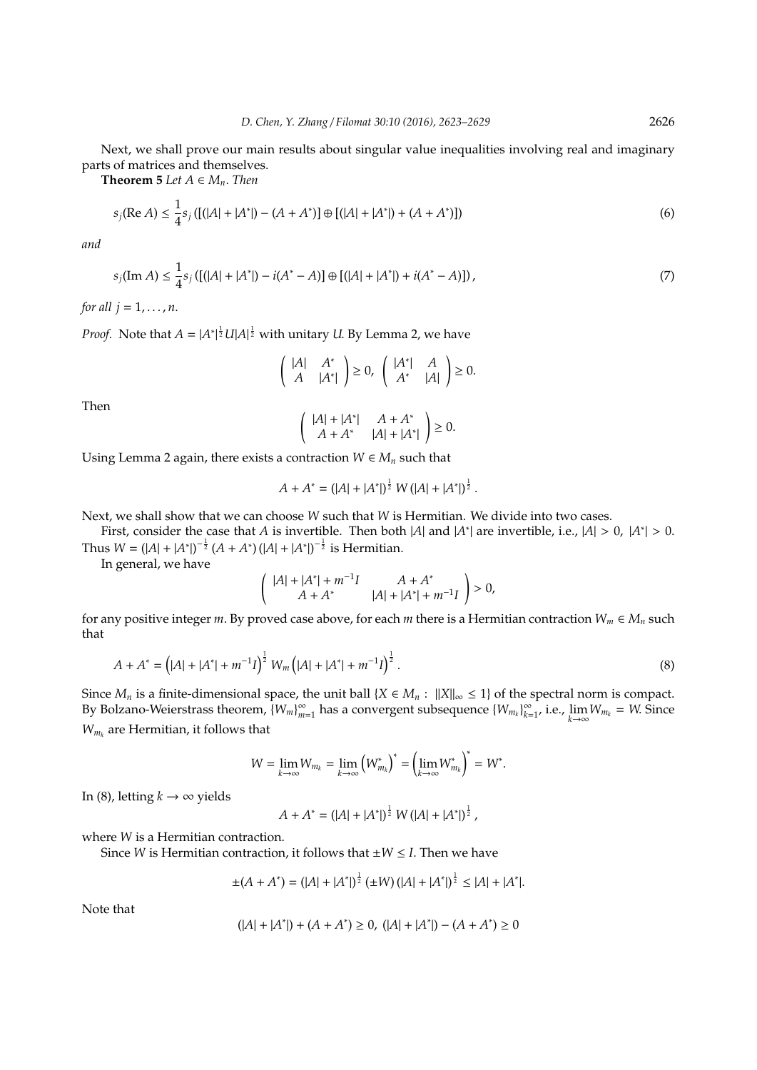Next, we shall prove our main results about singular value inequalities involving real and imaginary parts of matrices and themselves.

**Theorem 5** *Let*  $A \in M_n$ *. Then* 

$$
s_j(\text{Re }A) \le \frac{1}{4}s_j\left(\left[\left(|A| + |A^*|\right) - \left(A + A^*\right)\right] \oplus \left[\left(|A| + |A^*|\right) + \left(A + A^*\right)\right]\right) \tag{6}
$$

*and*

$$
s_j(\operatorname{Im} A) \le \frac{1}{4} s_j \left( \left[ (|A| + |A^*|) - i(A^* - A) \right] \oplus \left[ (|A| + |A^*|) + i(A^* - A) \right] \right),\tag{7}
$$

*for all*  $j = 1, ..., n$ .

*Proof.* Note that  $A = |A^*|^{\frac{1}{2}}U|A|^{\frac{1}{2}}$  with unitary *U*. By Lemma 2, we have

$$
\left(\begin{array}{cc} |A| & A^* \\ A & |A^*| \end{array}\right) \ge 0, \quad \left(\begin{array}{cc} |A^*| & A \\ A^* & |A| \end{array}\right) \ge 0.
$$

Then

$$
\left(\begin{array}{cc} |A|+|A^*| & A+A^* \\ A+A^* & |A|+|A^*| \end{array}\right) \ge 0.
$$

Using Lemma 2 again, there exists a contraction  $W \in M_n$  such that

$$
A + A^* = (|A| + |A^*|)^{\frac{1}{2}} W (|A| + |A^*|)^{\frac{1}{2}}.
$$

Next, we shall show that we can choose *W* such that *W* is Hermitian. We divide into two cases.

First, consider the case that *A* is invertible. Then both |*A*| and |*A*<sup>\*</sup>| are invertible, i.e., |*A*| > 0, |*A*<sup>\*</sup>| > 0. Thus  $W = (|A| + |A^*|)^{-\frac{1}{2}} (A + A^*) (|A| + |A^*|)^{-\frac{1}{2}}$  is Hermitian.

In general, we have

$$
\left(\begin{array}{cc} |A|+|A^*|+m^{-1}I & A+A^* \\ A+A^* & |A|+|A^*|+m^{-1}I \end{array}\right)>0,
$$

for any positive integer *m*. By proved case above, for each *m* there is a Hermitian contraction  $W_m \in M_n$  such that

$$
A + A^* = (|A| + |A^*| + m^{-1}I)^{\frac{1}{2}} W_m (|A| + |A^*| + m^{-1}I)^{\frac{1}{2}}.
$$
\n(8)

Since  $M_n$  is a finite-dimensional space, the unit ball  ${X \in M_n : ||X||_{\infty} \le 1}$  of the spectral norm is compact. By Bolzano-Weierstrass theorem,  ${W_m}_{m}^{\infty}$ *m*=1 has a convergent subsequence {*Wm<sup>k</sup>* } ∞  $\sum_{k=1}^{\infty}$ , i.e.,  $\lim_{k\to\infty}W_{m_k} = W$ . Since  $W_{m_k}$  are Hermitian, it follows that

$$
W = \lim_{k \to \infty} W_{m_k} = \lim_{k \to \infty} (W_{m_k}^*)^* = \left(\lim_{k \to \infty} W_{m_k}^*\right)^* = W^*.
$$

In (8), letting  $k \to \infty$  yields

$$
A + A^* = (|A| + |A^*|)^{\frac{1}{2}} W (|A| + |A^*|)^{\frac{1}{2}},
$$

where *W* is a Hermitian contraction.

Since *W* is Hermitian contraction, it follows that  $\pm W \leq I$ . Then we have

$$
\pm(A + A^*) = (|A| + |A^*|)^{\frac{1}{2}} (\pm W) (|A| + |A^*|)^{\frac{1}{2}} \le |A| + |A^*|.
$$

Note that

$$
(|A| + |A^*|) + (A + A^*) \ge 0, \ (|A| + |A^*|) - (A + A^*) \ge 0
$$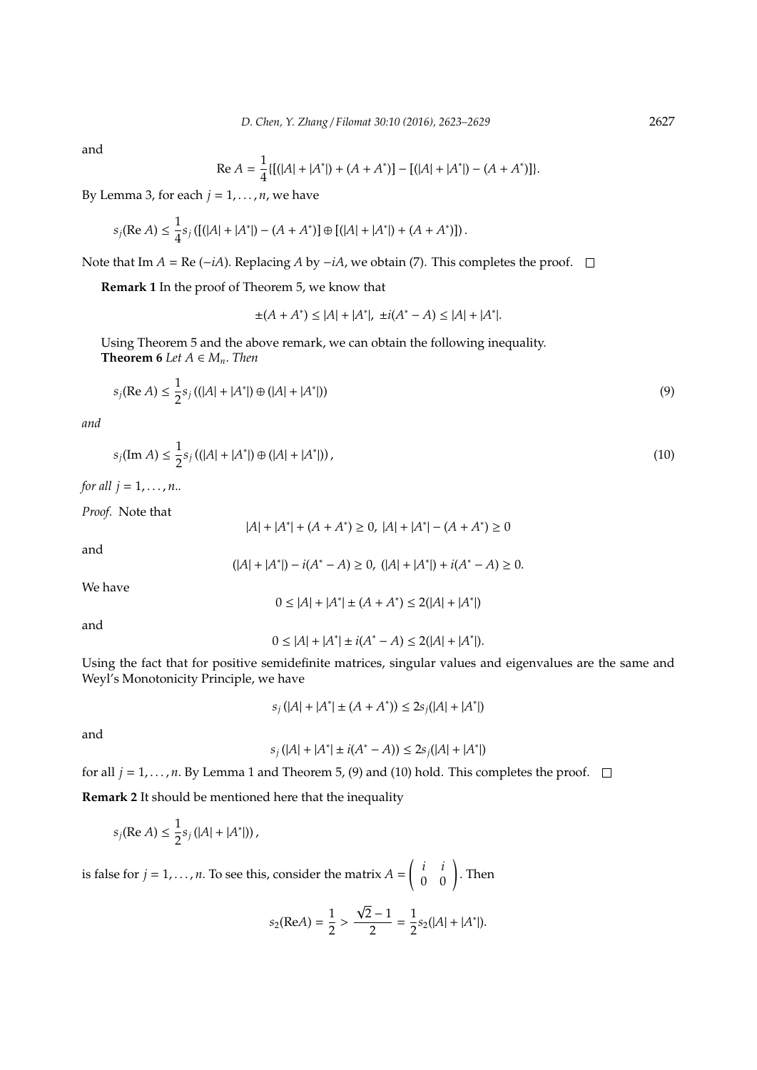and

Re 
$$
A = \frac{1}{4} \{ [(|A| + |A^*|) + (A + A^*)] - [(|A| + |A^*|) - (A + A^*)] \}.
$$

By Lemma 3, for each  $j = 1, \ldots, n$ , we have

$$
s_j(\text{Re }A) \leq \frac{1}{4} s_j \left( \left[ (|A| + |A^*|) - (A + A^*) \right] \oplus \left[ (|A| + |A^*|) + (A + A^*) \right] \right).
$$

Note that Im *A* = Re (−*iA*). Replacing *A* by −*iA*, we obtain (7). This completes the proof.  $\Box$ 

**Remark 1** In the proof of Theorem 5, we know that

$$
\pm(A + A^*) \le |A| + |A^*|, \ \pm i(A^* - A) \le |A| + |A^*|.
$$

Using Theorem 5 and the above remark, we can obtain the following inequality. **Theorem 6** *Let*  $A \in M_n$ *. Then* 

$$
s_j(\text{Re } A) \le \frac{1}{2} s_j \left( (|A| + |A^*|) \oplus (|A| + |A^*|) \right) \tag{9}
$$

*and*

$$
s_j(\text{Im } A) \le \frac{1}{2} s_j \left( (|A| + |A^*|) \oplus (|A| + |A^*|) \right),\tag{10}
$$

*for all*  $j = 1, ..., n$ *...* 

*Proof.* Note that

$$
|A| + |A^*| + (A + A^*) \ge 0, |A| + |A^*| - (A + A^*) \ge 0
$$

and

$$
(|A|+|A^*|)-i(A^*-A)\geq 0, \ (|A|+|A^*|)+i(A^*-A)\geq 0.
$$

We have

and

$$
0 \le |A| + |A^*| \pm i(A^* - A) \le 2(|A| + |A^*|).
$$

 $0 \le |A| + |A^*| \pm (A + A^*) \le 2(|A| + |A^*|)$ 

Using the fact that for positive semidefinite matrices, singular values and eigenvalues are the same and Weyl's Monotonicity Principle, we have

$$
s_j(|A| + |A^*| \pm (A + A^*)) \le 2s_j(|A| + |A^*|)
$$

and

$$
s_j(|A| + |A^*| \pm i(A^* - A)) \le 2s_j(|A| + |A^*|)
$$

for all  $j = 1, ..., n$ . By Lemma 1 and Theorem 5, (9) and (10) hold. This completes the proof.  $\Box$ 

**Remark 2** It should be mentioned here that the inequality

$$
s_j(\text{Re } A) \leq \frac{1}{2} s_j (|A| + |A^*|)),
$$

is false for  $j = 1, \ldots, n$ . To see this, consider the matrix  $A =$  $\left(\begin{array}{cc} i & i \\ 0 & 0 \end{array}\right)$ . Then

$$
s_2(\text{Re}A) = \frac{1}{2} > \frac{\sqrt{2} - 1}{2} = \frac{1}{2} s_2(|A| + |A^*|).
$$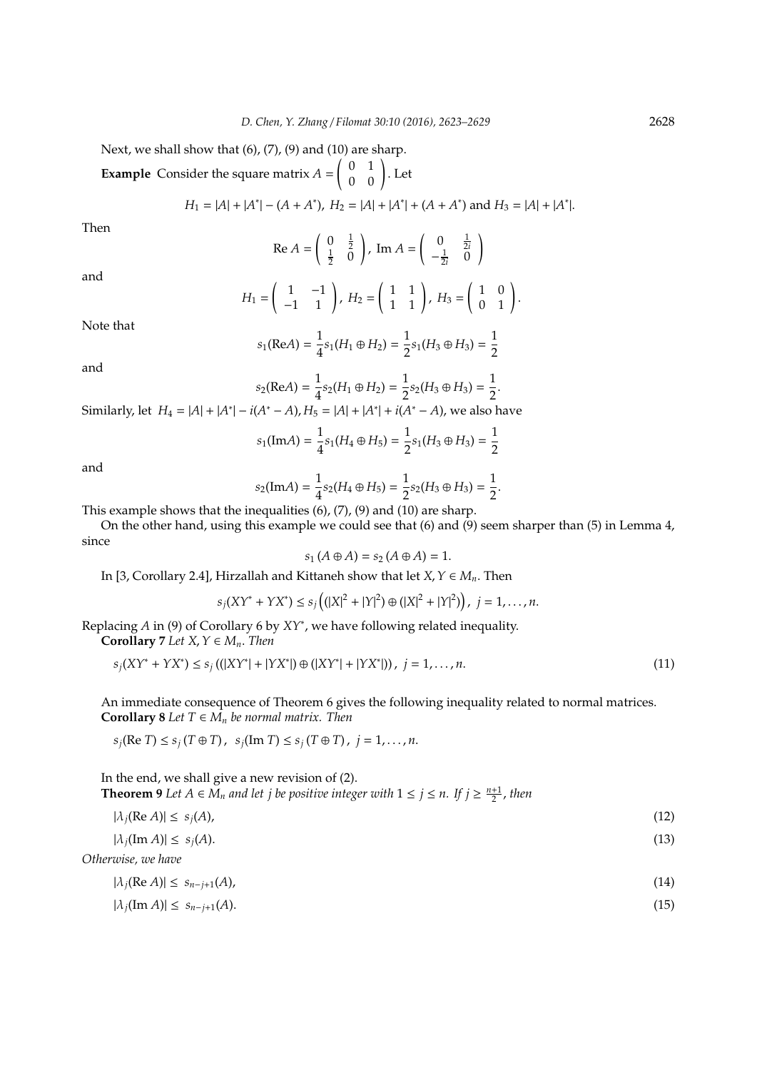Next, we shall show that  $(6)$ ,  $(7)$ ,  $(9)$  and  $(10)$  are sharp.

**Example** Consider the square matrix *A* =  $\left(\begin{array}{cc} 0 & 1\ 0 & 0 \end{array}\right)$ . Let

$$
H_1 = |A| + |A^*| - (A + A^*), H_2 = |A| + |A^*| + (A + A^*) \text{ and } H_3 = |A| + |A^*|.
$$

Then

Re 
$$
A = \begin{pmatrix} 0 & \frac{1}{2} \\ \frac{1}{2} & 0 \end{pmatrix}
$$
, Im  $A = \begin{pmatrix} 0 & \frac{1}{2i} \\ -\frac{1}{2i} & 0 \end{pmatrix}$ 

and

$$
H_1=\left(\begin{array}{cc}1 & -1\\-1 & 1\end{array}\right), H_2=\left(\begin{array}{cc}1 & 1\\1 & 1\end{array}\right), H_3=\left(\begin{array}{cc}1 & 0\\0 & 1\end{array}\right).
$$

Note that

$$
s_1(\text{Re} A) = \frac{1}{4} s_1(H_1 \oplus H_2) = \frac{1}{2} s_1(H_3 \oplus H_3) = \frac{1}{2}
$$

and

$$
s_2(\text{Re}A) = \frac{1}{4} s_2(H_1 \oplus H_2) = \frac{1}{2} s_2(H_3 \oplus H_3) = \frac{1}{2}.
$$

Similarly, let  $H_4 = |A| + |A^*| - i(A^* - A)$ ,  $H_5 = |A| + |A^*| + i(A^* - A)$ , we also have

$$
s_1(\text{Im}A) = \frac{1}{4}s_1(H_4 \oplus H_5) = \frac{1}{2}s_1(H_3 \oplus H_3) = \frac{1}{2}
$$

and

$$
s_2(\text{Im}A) = \frac{1}{4} s_2(H_4 \oplus H_5) = \frac{1}{2} s_2(H_3 \oplus H_3) = \frac{1}{2}.
$$

This example shows that the inequalities (6), (7), (9) and (10) are sharp.

On the other hand, using this example we could see that (6) and (9) seem sharper than (5) in Lemma 4, since

$$
s_1(A \oplus A) = s_2(A \oplus A) = 1.
$$

In [3, Corollary 2.4], Hirzallah and Kittaneh show that let  $X, Y \in M_n$ . Then

$$
s_j(XY^* + YX^*) \leq s_j((|X|^2 + |Y|^2) \oplus (|X|^2 + |Y|^2)), \ j = 1, ..., n.
$$

Replacing *A* in (9) of Corollary 6 by *XY*<sup>∗</sup> , we have following related inequality.

**Corollary** 7 *Let*  $X, Y \in M_n$ *. Then* 

$$
s_j(XY^* + YX^*) \le s_j((|XY^*| + |YX^*|) \oplus (|XY^*| + |YX^*|)), \ j = 1, ..., n.
$$
\n(11)

An immediate consequence of Theorem 6 gives the following inequality related to normal matrices. **Corollary 8** *Let*  $T \in M_n$  *be normal matrix. Then* 

$$
s_j(\text{Re } T) \leq s_j(T \oplus T), s_j(\text{Im } T) \leq s_j(T \oplus T), j = 1, ..., n.
$$

In the end, we shall give a new revision of (2). **Theorem 9** *Let*  $A \in M_n$  *and let j be positive integer with*  $1 \le j \le n$ *. If*  $j \ge \frac{n+1}{2}$ *, then* 

$$
|\lambda_j(\operatorname{Re} A)| \leq s_j(A),\tag{12}
$$

$$
|\lambda_j(\operatorname{Im} A)| \leq s_j(A). \tag{13}
$$

*Otherwise, we have*

$$
|\lambda_j(\operatorname{Re} A)| \leq s_{n-j+1}(A),\tag{14}
$$

$$
|\lambda_j(\operatorname{Im} A)| \leq s_{n-j+1}(A). \tag{15}
$$